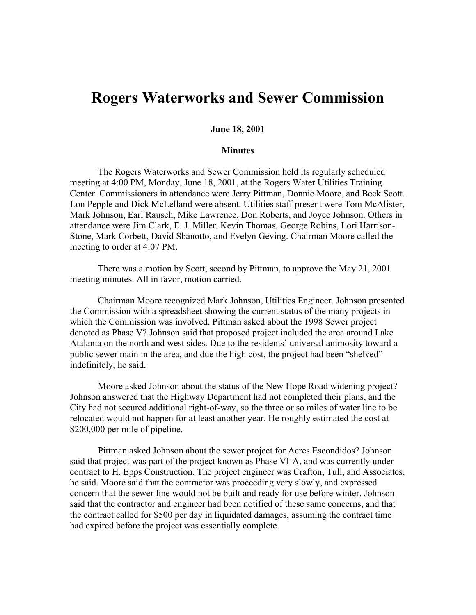## **Rogers Waterworks and Sewer Commission**

## **June 18, 2001**

## **Minutes**

The Rogers Waterworks and Sewer Commission held its regularly scheduled meeting at 4:00 PM, Monday, June 18, 2001, at the Rogers Water Utilities Training Center. Commissioners in attendance were Jerry Pittman, Donnie Moore, and Beck Scott. Lon Pepple and Dick McLelland were absent. Utilities staff present were Tom McAlister, Mark Johnson, Earl Rausch, Mike Lawrence, Don Roberts, and Joyce Johnson. Others in attendance were Jim Clark, E. J. Miller, Kevin Thomas, George Robins, Lori Harrison-Stone, Mark Corbett, David Sbanotto, and Evelyn Geving. Chairman Moore called the meeting to order at 4:07 PM.

There was a motion by Scott, second by Pittman, to approve the May 21, 2001 meeting minutes. All in favor, motion carried.

Chairman Moore recognized Mark Johnson, Utilities Engineer. Johnson presented the Commission with a spreadsheet showing the current status of the many projects in which the Commission was involved. Pittman asked about the 1998 Sewer project denoted as Phase V? Johnson said that proposed project included the area around Lake Atalanta on the north and west sides. Due to the residents' universal animosity toward a public sewer main in the area, and due the high cost, the project had been "shelved" indefinitely, he said.

Moore asked Johnson about the status of the New Hope Road widening project? Johnson answered that the Highway Department had not completed their plans, and the City had not secured additional right-of-way, so the three or so miles of water line to be relocated would not happen for at least another year. He roughly estimated the cost at \$200,000 per mile of pipeline.

Pittman asked Johnson about the sewer project for Acres Escondidos? Johnson said that project was part of the project known as Phase VI-A, and was currently under contract to H. Epps Construction. The project engineer was Crafton, Tull, and Associates, he said. Moore said that the contractor was proceeding very slowly, and expressed concern that the sewer line would not be built and ready for use before winter. Johnson said that the contractor and engineer had been notified of these same concerns, and that the contract called for \$500 per day in liquidated damages, assuming the contract time had expired before the project was essentially complete.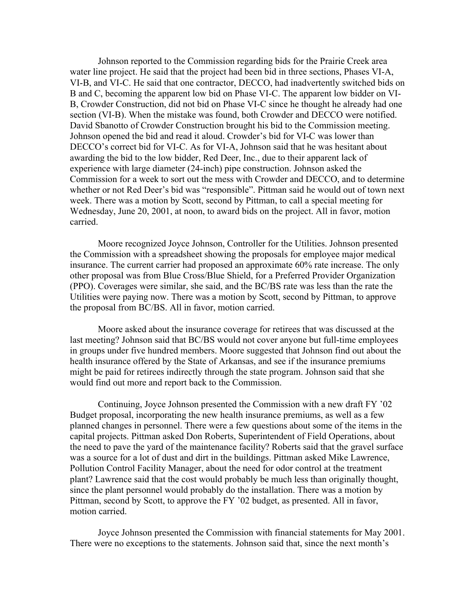Johnson reported to the Commission regarding bids for the Prairie Creek area water line project. He said that the project had been bid in three sections, Phases VI-A, VI-B, and VI-C. He said that one contractor, DECCO, had inadvertently switched bids on B and C, becoming the apparent low bid on Phase VI-C. The apparent low bidder on VI-B, Crowder Construction, did not bid on Phase VI-C since he thought he already had one section (VI-B). When the mistake was found, both Crowder and DECCO were notified. David Sbanotto of Crowder Construction brought his bid to the Commission meeting. Johnson opened the bid and read it aloud. Crowder's bid for VI-C was lower than DECCO's correct bid for VI-C. As for VI-A, Johnson said that he was hesitant about awarding the bid to the low bidder, Red Deer, Inc., due to their apparent lack of experience with large diameter (24-inch) pipe construction. Johnson asked the Commission for a week to sort out the mess with Crowder and DECCO, and to determine whether or not Red Deer's bid was "responsible". Pittman said he would out of town next week. There was a motion by Scott, second by Pittman, to call a special meeting for Wednesday, June 20, 2001, at noon, to award bids on the project. All in favor, motion carried.

Moore recognized Joyce Johnson, Controller for the Utilities. Johnson presented the Commission with a spreadsheet showing the proposals for employee major medical insurance. The current carrier had proposed an approximate 60% rate increase. The only other proposal was from Blue Cross/Blue Shield, for a Preferred Provider Organization (PPO). Coverages were similar, she said, and the BC/BS rate was less than the rate the Utilities were paying now. There was a motion by Scott, second by Pittman, to approve the proposal from BC/BS. All in favor, motion carried.

Moore asked about the insurance coverage for retirees that was discussed at the last meeting? Johnson said that BC/BS would not cover anyone but full-time employees in groups under five hundred members. Moore suggested that Johnson find out about the health insurance offered by the State of Arkansas, and see if the insurance premiums might be paid for retirees indirectly through the state program. Johnson said that she would find out more and report back to the Commission.

Continuing, Joyce Johnson presented the Commission with a new draft FY '02 Budget proposal, incorporating the new health insurance premiums, as well as a few planned changes in personnel. There were a few questions about some of the items in the capital projects. Pittman asked Don Roberts, Superintendent of Field Operations, about the need to pave the yard of the maintenance facility? Roberts said that the gravel surface was a source for a lot of dust and dirt in the buildings. Pittman asked Mike Lawrence, Pollution Control Facility Manager, about the need for odor control at the treatment plant? Lawrence said that the cost would probably be much less than originally thought, since the plant personnel would probably do the installation. There was a motion by Pittman, second by Scott, to approve the FY '02 budget, as presented. All in favor, motion carried.

Joyce Johnson presented the Commission with financial statements for May 2001. There were no exceptions to the statements. Johnson said that, since the next month's